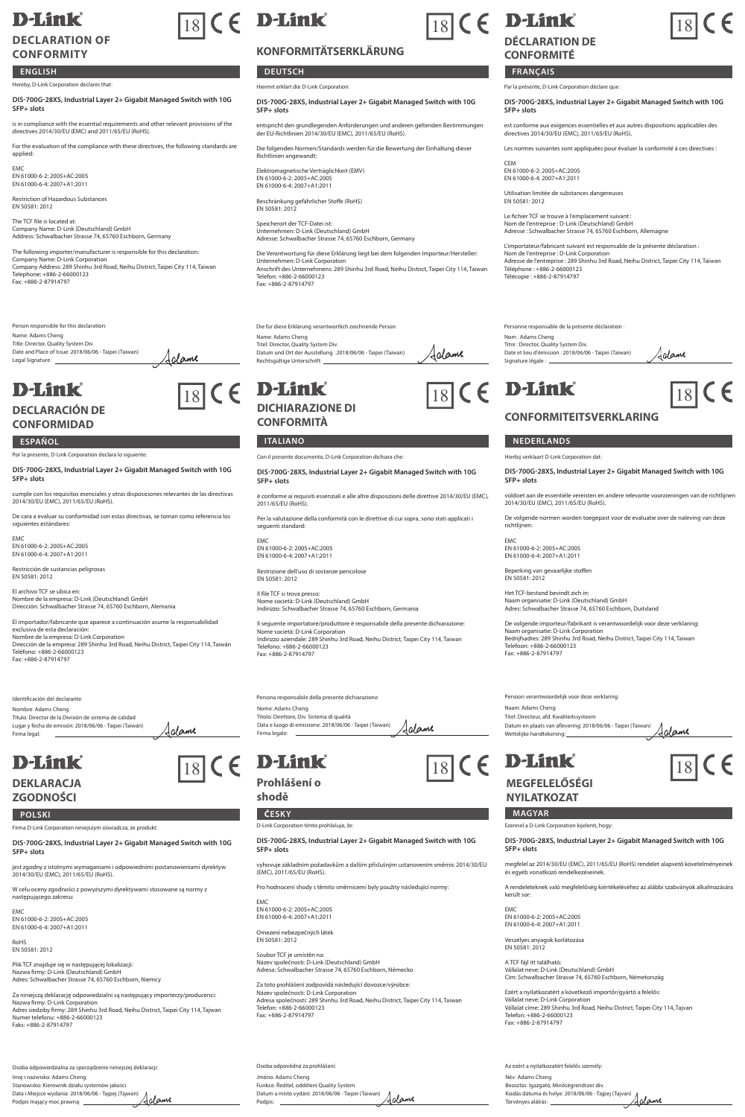## **D-Link DECLARATION OF**

## **CONFORMITY**

#### **ENGLISH**

### Hereby, D-Link Corporation declares that:

**DIS-700G-28XS, Industrial Layer 2+ Gigabit Managed Switch with 10G SFP+ slots**

is in compliance with the essential requirements and other relevant provisions of the directives 2014/30/EU (EMC) and 2011/65/EU (RoHS).

For the evaluation of the compliance with these directives, the following standards are applied

EMC EN 61000-6-2: 2005+AC:2005 EN 61000-6-4: 2007+A1:2011

Restriction of Hazardous Substances EN 50581: 2012

The TCF file is located at: Company Name: D-Link (Deutschland) GmbH Address: Schwalbacher Strasse 74, 65760 Eschborn, Germany

The following importer/manufacturer is responsible for this declaration:<br>Company Name: D-Link Corporation<br>Company Address: 289 Shinhu 3rd Road, Neihu District, Taipei City 114, Taiwan<br>Telephone: +886-2-879014797<br>Fax: +886-

Person responsible for this declaration: Name: Adams Cheng Title: Director, Quality System Div. Date and Place of Issue: 2018/06/06 - Taipei (Taiwan) Legal Signature:

# **D-Link**

#### **DECLARACIÓN DE CONFORMIDAD**

Por la presente, D-Link Corporation declara lo siguiente:

**DIS-700G-28XS, Industrial Layer 2+ Gigabit Managed Switch with 10G SFP+ slots**

Jalame

Aclame

cumple con los requisitos esenciales y otras disposiciones relevantes de las directivas 2014/30/EU (EMC), 2011/65/EU (RoHS).

De cara a evaluar su conformidad con estas directivas, se toman como referencia los a a evaluar su c<br>ntes estándares

EMC EN 61000-6-2: 2005+AC:2005 EN 61000-6-4: 2007+A1:2011

stricción de sustancias peligrosas EN 50581: 2012

El archivo TCF se ubica en: Nombre de la empresa: D-Link (Deutschland) GmbH Dirección: Schwalbacher Strasse 74, 65760 Eschborn, Alemania

El importador/fabricante que aparece a continuación asume la responsabilidad exclusiva de esta declaración:<br>Nombre de la empresa: D-Link Corporation<br>Dirección de la empresa: 289 Shinhu 3rd Road, Neihu District, Taipei City 114, Taiwán<br>Fax: +886-2-87914797<br>Fax: +886-2-87914797

Identificación del declarante: Nombre: Adams Cheng Título: Director de la División de sistema de calidad Lugar y fecha de emisión: 2018/06/06 - Taipei (Taiwán) Firma legal:

### **D-Link DEKLARACJA**

## **ZGODNOŚCI**

### **POLSKI ČESKY MAGYAR**

Firma D-Link Corporation niniejszym oświadcza, że produkt:

**DIS-700G-28XS, Industrial Layer 2+ Gigabit Managed Switch with 10G SFP+ slots**

aniami i odpowiednimi postanowieniami dyrektyw jest zgodny z istotnymi wymaganiami i<br>2014/30/EU (EMC), 2011/65/EU (RoHS).

W celu oceny zgodności z powyższymi dyrektywami stosowane są normy z następującego zakresu:

EMC EN 61000-6-2: 2005+AC:2005 EN 61000-6-4: 2007+A1:2011

RoHS EN 50581: 2012

Plik TCF znajduje się w następującej lokalizacji: Nazwa firmy: D-Link (Deutschland) GmbH Adres: Schwalbacher Strasse 74, 65760 Eschborn, Niemcy

Za niniejszą deklarację odpowiedzialni są następujący importerzy/producenci:<br>Nazwa firmy: D-Link Corporation<br>Adres siedziby firmy: 289 Shinhu 3rd Road, Neihu District, Taipei City 114, Tajwan<br>Numer telefonu: +886-2-6600012

Osoba odpowiedzialna za sporządzenie niniejszej deklaracji:

Imię i nazwisko: Adams Cheng Stanowisko: Kierownik działu systemów jakości Data i Miejsce wydania: 2018/06/06 - Tajpej (Tajwan) Podpis mający moc prawną:

# $\boxed{18}$  (  $\epsilon$  D-Link

### **KONFORMITÄTSERKLÄRUNG**

**DEUTSCH FRANÇAIS** Hiermit erklärt die D-Link Corporation:

#### **DIS-700G-28XS, Industrial Layer 2+ Gigabit Managed Switch with 10G SFP+ slots**

entspricht den grundlegenden Anforderungen und anderen geltenden Bestimmungen der EU-Richtlinien 2014/30/EU (EMC), 2011/65/EU (RoHS).

Die folgenden Normen/Standards werden für die Bewertung der Einhaltung die

Richtlinien angewandt: Elektromagnetische Verträglichkeit (EMV) EN 61000-6-2: 2005+AC:2005 EN 61000-6-4: 2007+A1:2011

Beschränkung gefährlicher Stoffe (RoHS) EN 50581: 2012

Speicherort der TCF-Datei ist: Unternehmen: D-Link (Deutschland) GmbH Adresse: Schwalbacher Strasse 74, 65760 Eschborn, Germany

Die Verantwortung für diese Erklärung liegt bei dem folgenden Importeur/Hersteller:<br>Unternehmen: D-Link Corporation<br>Anschrift des Unternehmens: 289 Shinhu 3rd Road, Neihu District, Taipei City 114, Taiwan<br>Telefon: +886-2-6 Fax: +886-2-87914797

#### Die für diese Erklärung verantwortlich zeichnende Person:

Name: Adams Cheng Titel: Director, Quality System Div. Jalame Datum und Ort der Ausstellung : 2018/06/06 - Taipei (Taiwan) Rechtsgültige Unterschrift:



**DICHIARAZIONE DI CONFORMITÀ**

Con il presente documento, D-Link Corporation dichiara che:

**DIS-700G-28XS, Industrial Layer 2+ Gigabit Managed Switch with 10G SFP+ slots**

.<br>isiti essenziali e alle altre disposizioni delle direttive 2014/30/EU (EMC), è conforme ai requi<br>2011/65/EU (RoHS).

Per la valutazione della conformità con le direttive di cui sopra, sono stati applicati i seguenti standard:

EMC EN 61000-6-2: 2005+AC:2005 EN 61000-6-4: 2007+A1:2011

Restrizione dell'uso di sostanze pericolose EN 50581: 2012

Il file TCF si trova presso: Nome società: D-Link (Deutschland) GmbH Indirizzo: Schwalbacher Strasse 74, 65760 Eschborn, Germania

Il seguente importatore/produttore è responsabile della presente dichiarazione: Nome società: D-Link Corporation Indirizzo aziendale: 289 Shinhu 3rd Road, Neihu District, Taipei City 114, Taiwan Telefono: +886-2-66000123 Fax: +886-2-87914797

Persona responsabile della presente dichiarazione: Nome: Adams Cheng<br>Titolo: Direttore, Div. Sistema di qualità Titolo: Direttore, Div. Sistema di qualità Data e luogo di emissione: 2018/06/06 - Taipei (Taiwan) Firma legale: Aclame

**Prohlášení o shodě**

D-Link Corporation tímto prohlašuje, že:

#### **DIS-700G-28XS, Industrial Layer 2+ Gigabit Managed Switch with 10G SFP+ slots**

iadavkům a dalším příslušným ustanovením směrnic 2014/30/EU vyhovuje základním požad<br>(EMC), 2011/65/EU (RoHS).

Pro hodnocení shody s těmito směrnicemi byly použity následující normy: EMC

EN 61000-6-2: 2005+AC:2005 EN 61000-6-4: 2007+A1:2011 Omezení nebezpečných látek

EN 50581: 2012

Soubor TCF je umístěn na: Název společnosti: D-Link (Deutschland) GmbH Adresa: Schwalbacher Strasse 74, 65760 Eschborn, Německo

Za toto prohlášení zodpovídá následující dovozce/výrobce:<br>Název společnosti: D-Link Corporation<br>Adresa společnosti: 289 Shinhu 3rd Road, Neihu District, Taipei City 114, Taiwar Telefon: +886-2-66000123 Fax: +886-2-87914797

Osoba odpovědná za prohlášení: Jméno: Adams Cheng<br>Funkce: Ředitel, oddělení Quality System Funkce: Ředitel, oddělení Quality System Datum a místo vydání: 2018/06/06 - Taipei (Taiwan) Podpis: Adame

# $\boxed{18}$  C E

## **D-Link DÉCLARATION DE**

## **CONFORMITÉ**

#### Par la présente, D-Link Corporation déclare que :

**DIS-700G-28XS, Industrial Layer 2+ Gigabit Managed Switch with 10G SFP+ slots**

est conforme aux exigences essentielles et aux autres dispositions applicables des directives 2014/30/EU (EMC), 2011/65/EU (RoHS).

Les normes suivantes sont appliquées pour évaluer la conformité à ces directi

CEM<br>EN 61000 6.3-2005 : AC-2005 EN 61000-6-2: 2005+AC:2005 EN 61000-6-4: 2007+A1:2011

Utilisation limitée de substances dange EN 50581: 2012

Le fichier TCF se trouve à l'emplacement suivant : Nom de l'entreprise : D-Link (Deutschland) GmbH Adresse : Schwalbacher Strasse 74, 65760 Eschborn, Allemagne

L'importateur/Tabricant suivant est responsable de la présente déclaration :<br>Nom de l'entreprise : D-Link Corporation<br>Adresse de l'entreprise : 289 Shinhu 3rd Road, Neihu District, Taipei City 114, Taïwar<br>Téléchone : +886-

Personne responsable de la présente déclaration : Nom : Adams Cheng Titre : Director, Quality System Div. Jalame Date et lieu d'émission : 2018/06/06 - Taipei (Taïwan) Signature légale :

# $\boxed{18}$  (  $\in$  **D-Link**  $\boxed{18}$  (  $\in$  **D-Link**  $\boxed{18}$  (  $\in$



 $\overline{18}$  C E

**CONFORMITEITSVERKLARING**

#### **ESPAÑOL ITALIANO NEDERLANDS**

Hierbij verklaart D-Link Corporation dat:

**DIS-700G-28XS, Industrial Layer 2+ Gigabit Managed Switch with 10G SFP+ slots**

voldoet aan de essentiële vereisten en andere relevante voorzieningen van de richtlijnen 2014/30/EU (EMC), 2011/65/EU (RoHS).

De volgende normen worden toegepast voor de evaluatie over de naleving van deze richtlijnen:

EMC EN 61000-6-2: 2005+AC:2005 EN 61000-6-4: 2007+A1:2011

Beperking van gevaarlijke stoffen EN 50581: 2012

Het TCF-bestand bevindt zich in: Naam organisatie: D-Link (Deutschland) GmbH Adres: Schwalbacher Strasse 74, 65760 Eschborn, Duitsland

De volgende importeur/fabrikant is verantwoordelijk voor deze verklaring: Naam organisatie: D-Link Corporation Bedrijfsadres: 289 Shinhu 3rd Road, Neihu District, Taipei City 114, Taiwan Telefoon: +886-2-66000123 Fax: +886-2-87914797

Persoon verantwoordelijk voor deze verkla

m: Adams Cheng Titel: Directeur, afd. Kwaliteitssysteem Datum en plaats van aflevering: 2018/06/06 - Taipei (Taiwan) Wettelijke handtekening: <u>Adame</u>

**DIS-700G-28XS, Industrial Layer 2+ Gigabit Managed Switch with 10G** 

megfelel az 2014/30/EU (EMC), 2011/65/EU (RoHS) rendelet alapvető követelményeinek

A rendeleteknek való megfelelőség kiértékeléséhez az alábbi szabványok alkalmazására

## $\boxed{18}$  (  $\in$  **D-Link**  $\boxed{18}$  (  $\in$  **D-Link**  $\boxed{18}$ **MEGFELELŐSÉGI**

**NYILATKOZAT**

EMC EN 61000-6-2: 2005+AC:2005 EN 61000-6-4: 2007+A1:2011 Veszélyes anyagok korlátozása EN 50581: 2012 A TCF fájl itt található:

Telefon: +886-2-66000123 Fax: +886-2-87914797

Név: Adams Cheng Beosztás: Igazgató, Minőségrendszer div. Kiadás dátuma és helye: 2018/06/06 - Tajpej (Tajvan) Törvényes aláírás:

**SFP+ slots**

került sor:

és egyéb vonatko

Ezennel a D-Link Corporation kijelenti, hogy:

Az ezért a nyilatkozatért felelős személy:

Vállalat neve: D-Link (Deutschland) GmbH Cím: Schwalbacher Strasse 74, 65760 Eschborn, Németország Ezért a nyilatkozatért a következő importőr/gyártó a felelős: Vállalat neve: D-Link Corporation Vállalat címe: 289 Shinhu 3rd Road, Neihu District, Taipei City 114, Tajvan